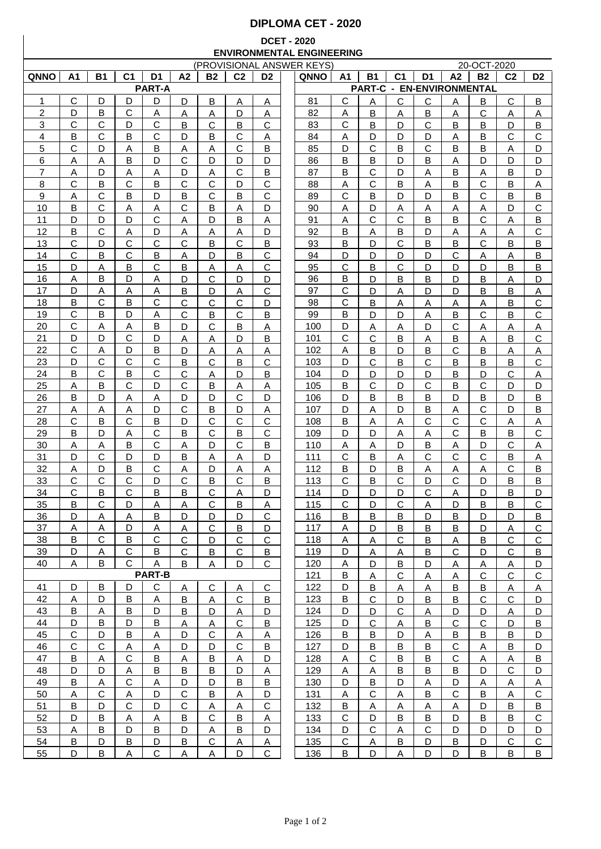## **DIPLOMA CET - 2020**

## **DCET - 2020 ENVIRONMENTAL ENGINEERING**

| (PROVISIONAL ANSWER KEYS) |                |                         |                |                |              |              |                |                |  | 20-OCT-2020 |                |                                  |                |                |              |              |                |                |
|---------------------------|----------------|-------------------------|----------------|----------------|--------------|--------------|----------------|----------------|--|-------------|----------------|----------------------------------|----------------|----------------|--------------|--------------|----------------|----------------|
| QNNO                      | A <sub>1</sub> | <b>B1</b>               | C <sub>1</sub> | D <sub>1</sub> | A2           | <b>B2</b>    | C <sub>2</sub> | D <sub>2</sub> |  | QNNO        | A <sub>1</sub> | <b>B1</b>                        | C <sub>1</sub> | D <sub>1</sub> | A2           | <b>B2</b>    | C <sub>2</sub> | D <sub>2</sub> |
|                           |                |                         |                | <b>PART-A</b>  |              |              |                |                |  |             |                | <b>PART-C - EN-ENVIRONMENTAL</b> |                |                |              |              |                |                |
| 1                         | С              | D                       | D              | D              | D            | В            | Α              | Α              |  | 81          | С              | Α                                | С              | С              | A            | В            | С              | B              |
| $\overline{c}$            | D              | В                       | $\mathsf{C}$   | Α              | A            | A            | D              | A              |  | 82          | Α              | B                                | А              | B              | Α            | $\mathsf{C}$ | Α              | Α              |
| 3                         | C              | C                       | D              | С              | В            | C            | B              | C              |  | 83          | С              | B                                | D              | C              | В            | В            | D              | B              |
| 4                         | B              | C                       | B              | $\mathsf C$    | D            | В            | $\mathsf{C}$   | A              |  | 84          | Α              | D                                | D              | D              | Α            | В            | C              | $\mathsf{C}$   |
| 5                         | $\mathbf C$    | D                       | Α              | В              | Α            | Α            | $\mathsf{C}$   | B              |  | 85          | D              | C                                | В              | $\mathsf{C}$   | B            | B            | Α              | D              |
| 6                         | Α              | Α                       | B              | D              | $\mathsf{C}$ | D            | D              | D              |  | 86          | B              | B                                | D              | B              | A            | D            | D              | D              |
| 7                         | Α              | D                       | $\overline{A}$ | A              | D            | A            | $\mathsf{C}$   | B              |  | 87          | B              | C                                | D              | A              | B            | A            | В              | D              |
| 8                         | C              | В                       | C              | В              | $\mathsf{C}$ | $\mathsf C$  | D              | $\mathsf C$    |  | 88          | Α              | C                                | В              | A              | B            | $\mathsf{C}$ | В              | $\overline{A}$ |
| 9                         | Α              | C                       | B              | D              | В            | C            | B              | C              |  | 89          | C              | B                                | D              | D              | B            | C            | B              | B              |
| 10                        | в              | C                       | Α              | Α              | $\mathsf{C}$ | B            | Α              | D              |  | 90          | Α              | D                                | Α              | A              | Α            | Α            | D              | $\mathbf C$    |
| 11                        | D              | D                       | D              | C              |              | D            | B              |                |  | 91          |                | C                                | С              | B              | B            | C            |                | B              |
| 12                        | B              | С                       |                | D              | Α            |              |                | Α<br>D         |  |             | Α<br>B         |                                  |                |                |              |              | Α              | $\mathbf C$    |
|                           |                |                         | Α              |                | Α            | Α            | Α              |                |  | 92          |                | Α                                | В              | D              | Α            | Α            | Α              |                |
| 13                        | С              | D                       | С              | С              | C            | B            | C              | В              |  | 93          | В              | D                                | С              | в              | B            | C            | B              | B              |
| 14                        | C              | В                       | C              | В              | Α            | D            | B              | С              |  | 94          | D              | D                                | D              | D              | С            | Α            | Α              | B              |
| 15                        | D              | Α                       | B              | С              | в            | Α            | А              | С              |  | 95          | С              | B                                | С              | D              | D            | D            | В              | B              |
| 16                        | Α              | В                       | D              | Α              | D            | C            | D              | D              |  | 96          | В              | D                                | В              | в              | D            | B            | Α              | D              |
| 17                        | D              | Α                       | Α              | Α              | В            | D            | Α              | C              |  | 97          | $\mathbf C$    | D                                | Α              | D              | D            | B            | В              | A              |
| 18                        | B              | $\mathsf{C}$            | B              | $\mathsf{C}$   | $\mathsf{C}$ | C            | $\mathsf{C}$   | D              |  | 98          | $\mathsf{C}$   | B                                | Α              | Α              | Α            | Α            | B              | $\mathsf{C}$   |
| 19                        | C              | B                       | D              | Α              | $\mathsf{C}$ | Β            | C              | Β              |  | 99          | B              | D                                | D              | Α              | В            | C            | B              | $\mathsf{C}$   |
| 20                        | C              | Α                       | Α              | B              | D            | $\mathsf{C}$ | B              | Α              |  | 100         | D              | Α                                | Α              | D              | С            | Α            | Α              | $\overline{A}$ |
| 21                        | D              | D                       | C              | D              | Α            | Α            | D              | Β              |  | 101         | C              | C                                | B              | Α              | B            | Α            | B              | $\mathsf{C}$   |
| 22                        | $\mathsf{C}$   | Α                       | D              | B              | D            | Α            | Α              | Α              |  | 102         | Α              | B                                | D              | B              | $\mathsf{C}$ | B            | Α              | Α              |
| 23                        | D              | С                       | C              | C              | B            | C            | B              | C              |  | 103         | D              | C                                | в              | C              | B            | B            | B              | C              |
| 24                        | в              | C                       | B              | $\mathsf{C}$   | $\mathsf{C}$ | Α            | D              | B              |  | 104         | D              | D                                | D              | D              | B            | D            | C              | A              |
| 25                        | Α              | B                       | C              | D              | $\mathsf{C}$ | B            | Α              | Α              |  | 105         | B              | C                                | D              | С              | B            | $\mathsf{C}$ | D              | D              |
| 26                        | B              | D                       | A              | Α              | D            | D            | C              | D              |  | 106         | D              | B                                | B              | B              | D            | в            | D              | Β              |
| 27                        | Α              | Α                       | Α              | D              | $\mathsf{C}$ | B            | D              | Α              |  | 107         | D              | A                                | D              | В              | Α            | $\mathsf{C}$ | D              | B              |
| 28                        | C              | Β                       | C              | B              | D            | C            | $\mathsf{C}$   | C              |  | 108         | В              | Α                                | Α              | $\mathsf{C}$   | C            | $\mathsf{C}$ | Α              | Α              |
| 29                        | B              | D                       | Α              | C              | В            | C            | B              | $\mathsf C$    |  | 109         | D              | D                                | Α              | Α              | $\mathsf C$  | B            | В              | C              |
| 30                        | Α              | Α                       | B              | $\mathsf C$    | A            | D            | $\mathsf{C}$   | B              |  | 110         | Α              | A                                | D              | B              | Α            | D            | C              | A              |
| 31                        | D              | C                       | D              | D              | B            | Α            | Α              | D              |  | 111         | C              | B                                | Α              | C              | $\mathbf C$  | C            | B              | A              |
| 32                        | Α              | D                       | B              | С              | Α            | D            | Α              | A              |  | 112         | B              | D                                | В              | A              | Α            | Α            | C              | $\sf B$        |
| 33                        | C              | С                       | С              | D              | C            | B            | C              | B              |  | 113         | С              | B                                | С              | D              | C            | D            | B              | В              |
| 34                        | C              | В                       | C              | В              | B            | С            | Α              | D              |  | 114         | D              | D                                | D              | C              | Α            | D            | В              | D              |
| 35                        | B              | С                       | D              |                |              | С            |                |                |  | 115         | С              | D                                | С              |                | D            | B            |                | C              |
|                           |                |                         |                | Α              | Α            |              | в              | Α              |  |             |                |                                  |                | Α              |              |              | В              |                |
| <u>36</u>                 | D              | A                       | A              | B              | D            | D            | D              | С              |  | <u>116</u>  | B              | B                                | B              | D              | B            | D            | D              | В              |
| 37                        | Α              | Α                       | D              | <u>A</u>       | A            | C            | B              | D              |  | 117         | A              | D                                | В              | B              | B            | D            | A              | $\mathsf{C}$   |
| 38                        | В              | С                       | B              | C              | $\mathbf{C}$ | D            | C              | С              |  | 118         | A              | $\overline{A}$                   | C              | B              | $\mathsf{A}$ | B            | C              | C              |
| 39                        | D              | Α                       | С              | B              | $\mathbf{C}$ | B            | C              | В              |  | 119         | D              | Α                                | $\overline{A}$ | В              | C            | D            | C              | B              |
| 40                        | Α              | В                       | C.             | Α              | B            | A            | D              | С              |  | 120         | Α              | D                                | В              | D              | <u>A</u>     | A            | A              | D              |
|                           |                |                         |                | <b>PART-B</b>  |              |              |                |                |  | 121         | B              | A                                | C              | Α              | Α            | $\mathsf{C}$ | C              | $\mathbf C$    |
| 41                        | D              | В                       | D              | С              | A            | C            | Α              | C              |  | 122         | D              | B                                | Α              | Α              | В            | B            | Α              | Α              |
| 42                        | Α              | D                       | B              | A              | B            | A            | $\mathbf C$    | В              |  | 123         | B              | $\mathbf C$                      | D              | В              | В            | $\mathsf{C}$ | $\mathbf C$    | D              |
| 43                        | B              | $\overline{\mathsf{A}}$ | B              | D              | B            | D            | A              | D              |  | 124         | D              | D                                | $\mathsf{C}$   | A              | D            | D            | Α              | D              |
| 44                        | D              | B                       | D              | В              | <u>A</u>     | <u>A</u>     | $\mathsf{C}$   | B              |  | 125         | D              | C                                | $\overline{A}$ | $\overline{B}$ | $\mathbf C$  | $\mathbf C$  | D              | $\overline{B}$ |
| 45                        | $\mathbf C$    | D                       | В              | Α              | D            | $\mathsf C$  | $\overline{A}$ | Α              |  | 126         | В              | B                                | D              | $\overline{A}$ | B            | В            | В              | D              |
| 46                        | $\mathbf C$    | $\mathbf C$             | A              | Α              | D            | D            | $\mathbf C$    | B              |  | 127         | D              | B                                | B              | B              | C            | А            | B              | D              |
| 47                        | B              | Α                       | C              | B              | A            | В            | A              | D              |  | 128         | Α              | C                                | В              | В              | C            | A            | Α              | B              |
| 48                        | D              | D                       | A              | B              | B            | B            | D              | Α              |  | 129         | Α              | Α                                | В              | B              | В            | D            | C              | D              |
| 49                        | B              | A                       | $\mathsf{C}$   | A              | D            | D            | B              | B              |  | 130         | D              | B                                | D              | Α              | D            | A            | Α              | Α              |
| 50                        | Α              | С                       | A              | D              | $\mathsf{C}$ | В            | A              | D              |  | 131         | Α              | C                                | Α              | B              | C            | В            | Α              | $\mathbf C$    |
| 51                        | B              | D                       | C              | D              | C            | A            | A              | $\mathsf{C}$   |  | 132         | В              | A                                | Α              | Α              | A            | D            | В              | B              |
| 52                        | D              | В                       | Α              | A              | B            | $\mathsf{C}$ | B              | A              |  | 133         | $\mathsf C$    | D                                | В              | B              | D            | B            | B              | $\mathbf C$    |
| 53                        | Α              | В                       | D              | B              | D            | A            | B              | D              |  | 134         | D              | $\mathbf C$                      | Α              | C              | D            | D            | D              | D              |
| 54                        | B              | D                       | В              | D              | B            | C            | A              | Α              |  | 135         | $\mathbf C$    | A                                | В              | D              | В            | D            | C              | $\mathbf C$    |
| 55                        | D              | B                       | A              | $\mathsf C$    | A            | A            | D              | $\mathsf C$    |  | 136         | B              | D                                | A              | D              | D            | В            | B              | B              |
|                           |                |                         |                |                |              |              |                |                |  |             |                |                                  |                |                |              |              |                |                |